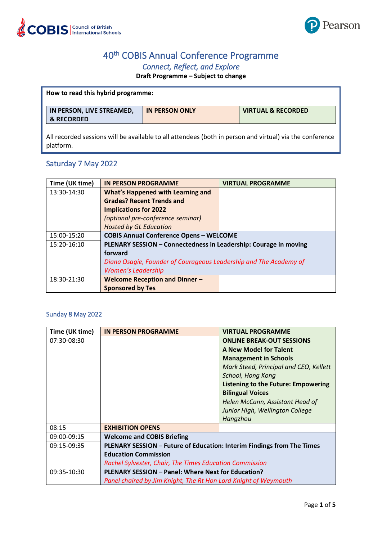

# 40th COBIS Annual Conference Programme

## *Connect, Reflect, and Explore*

### **Draft Programme – Subject to change**

| How to read this hybrid programme:                                                                                    |                       |                               |
|-----------------------------------------------------------------------------------------------------------------------|-----------------------|-------------------------------|
| IN PERSON, LIVE STREAMED,<br>& RECORDED                                                                               | <b>IN PERSON ONLY</b> | <b>VIRTUAL &amp; RECORDED</b> |
| All recorded sessions will be available to all attendees (both in person and virtual) via the conference<br>platform. |                       |                               |

# Saturday 7 May 2022

| Time (UK time) | <b>IN PERSON PROGRAMME</b>                                        | <b>VIRTUAL PROGRAMME</b> |
|----------------|-------------------------------------------------------------------|--------------------------|
| 13:30-14:30    | <b>What's Happened with Learning and</b>                          |                          |
|                | <b>Grades? Recent Trends and</b>                                  |                          |
|                | <b>Implications for 2022</b>                                      |                          |
|                | (optional pre-conference seminar)                                 |                          |
|                | <b>Hosted by GL Education</b>                                     |                          |
| 15:00-15:20    | <b>COBIS Annual Conference Opens - WELCOME</b>                    |                          |
| 15:20-16:10    | PLENARY SESSION - Connectedness in Leadership: Courage in moving  |                          |
|                | forward                                                           |                          |
|                | Diana Osagie, Founder of Courageous Leadership and The Academy of |                          |
|                | <b>Women's Leadership</b>                                         |                          |
| 18:30-21:30    | <b>Welcome Reception and Dinner -</b>                             |                          |
|                | <b>Sponsored by Tes</b>                                           |                          |

### Sunday 8 May 2022

| Time (UK time) | <b>IN PERSON PROGRAMME</b>                                             | <b>VIRTUAL PROGRAMME</b>               |
|----------------|------------------------------------------------------------------------|----------------------------------------|
| 07:30-08:30    |                                                                        | <b>ONLINE BREAK-OUT SESSIONS</b>       |
|                |                                                                        | <b>A New Model for Talent</b>          |
|                |                                                                        | <b>Management in Schools</b>           |
|                |                                                                        | Mark Steed, Principal and CEO, Kellett |
|                |                                                                        | School, Hong Kong                      |
|                |                                                                        | Listening to the Future: Empowering    |
|                |                                                                        | <b>Bilingual Voices</b>                |
|                |                                                                        | Helen McCann, Assistant Head of        |
|                |                                                                        | Junior High, Wellington College        |
|                |                                                                        | Hangzhou                               |
| 08:15          | <b>EXHIBITION OPENS</b>                                                |                                        |
| 09:00-09:15    | <b>Welcome and COBIS Briefing</b>                                      |                                        |
| 09:15-09:35    | PLENARY SESSION - Future of Education: Interim Findings from The Times |                                        |
|                | <b>Education Commission</b>                                            |                                        |
|                | Rachel Sylvester, Chair, The Times Education Commission                |                                        |
| 09:35-10:30    | PLENARY SESSION - Panel: Where Next for Education?                     |                                        |
|                | Panel chaired by Jim Knight, The Rt Hon Lord Knight of Weymouth        |                                        |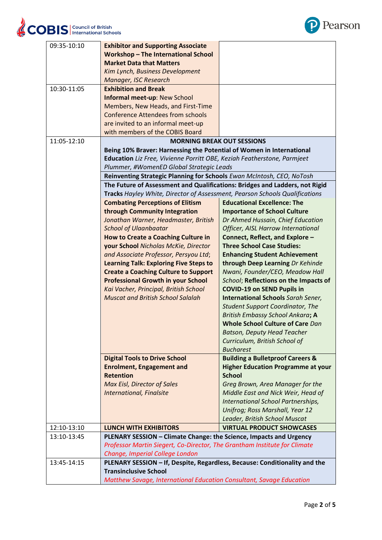

| 09:35-10:10 | <b>Exhibitor and Supporting Associate</b>                                   |                                             |
|-------------|-----------------------------------------------------------------------------|---------------------------------------------|
|             | <b>Workshop-The International School</b>                                    |                                             |
|             | <b>Market Data that Matters</b>                                             |                                             |
|             | Kim Lynch, Business Development                                             |                                             |
|             | Manager, ISC Research                                                       |                                             |
| 10:30-11:05 | <b>Exhibition and Break</b>                                                 |                                             |
|             | <b>Informal meet-up: New School</b>                                         |                                             |
|             | Members, New Heads, and First-Time                                          |                                             |
|             | <b>Conference Attendees from schools</b>                                    |                                             |
|             | are invited to an informal meet-up                                          |                                             |
|             | with members of the COBIS Board                                             |                                             |
| 11:05-12:10 | <b>MORNING BREAK OUT SESSIONS</b>                                           |                                             |
|             | Being 10% Braver: Harnessing the Potential of Women in International        |                                             |
|             | Education Liz Free, Vivienne Porritt OBE, Keziah Featherstone, Parmjeet     |                                             |
|             | Plummer, #WomenED Global Strategic Leads                                    |                                             |
|             | Reinventing Strategic Planning for Schools Ewan McIntosh, CEO, NoTosh       |                                             |
|             | The Future of Assessment and Qualifications: Bridges and Ladders, not Rigid |                                             |
|             | Tracks Hayley White, Director of Assessment, Pearson Schools Qualifications |                                             |
|             | <b>Combating Perceptions of Elitism</b>                                     | <b>Educational Excellence: The</b>          |
|             | through Community Integration                                               | <b>Importance of School Culture</b>         |
|             | Jonathan Warner, Headmaster, British                                        | Dr Ahmed Hussain, Chief Education           |
|             | <b>School of Ulaanbaatar</b>                                                | Officer, AISL Harrow International          |
|             | <b>How to Create a Coaching Culture in</b>                                  | Connect, Reflect, and Explore -             |
|             | your School Nicholas McKie, Director                                        | <b>Three School Case Studies:</b>           |
|             | and Associate Professor, Persyou Ltd;                                       | <b>Enhancing Student Achievement</b>        |
|             | <b>Learning Talk: Exploring Five Steps to</b>                               | through Deep Learning Dr Kehinde            |
|             | <b>Create a Coaching Culture to Support</b>                                 | Nwani, Founder/CEO, Meadow Hall             |
|             | <b>Professional Growth in your School</b>                                   | School; Reflections on the Impacts of       |
|             | Kai Vacher, Principal, British School                                       | <b>COVID-19 on SEND Pupils in</b>           |
|             | <b>Muscat and British School Salalah</b>                                    | <b>International Schools Sarah Sener,</b>   |
|             |                                                                             | <b>Student Support Coordinator, The</b>     |
|             |                                                                             | British Embassy School Ankara; A            |
|             |                                                                             | Whole School Culture of Care Dan            |
|             |                                                                             | <b>Batson, Deputy Head Teacher</b>          |
|             |                                                                             | Curriculum, British School of               |
|             |                                                                             | <b>Bucharest</b>                            |
|             | <b>Digital Tools to Drive School</b>                                        | <b>Building a Bulletproof Careers &amp;</b> |
|             | <b>Enrolment, Engagement and</b>                                            | <b>Higher Education Programme at your</b>   |
|             | <b>Retention</b>                                                            | <b>School</b>                               |
|             | <b>Max Eisl, Director of Sales</b>                                          | Greg Brown, Area Manager for the            |
|             | <b>International, Finalsite</b>                                             | Middle East and Nick Weir, Head of          |
|             |                                                                             | International School Partnerships,          |
|             |                                                                             | Unifrog; Ross Marshall, Year 12             |
|             |                                                                             | Leader, British School Muscat               |
| 12:10-13:10 | <b>LUNCH WITH EXHIBITORS</b>                                                | <b>VIRTUAL PRODUCT SHOWCASES</b>            |
| 13:10-13:45 | PLENARY SESSION - Climate Change: the Science, Impacts and Urgency          |                                             |
|             | Professor Martin Siegert, Co-Director, The Grantham Institute for Climate   |                                             |
|             | Change, Imperial College London                                             |                                             |
| 13:45-14:15 | PLENARY SESSION - If, Despite, Regardless, Because: Conditionality and the  |                                             |
|             | <b>Transinclusive School</b>                                                |                                             |
|             | Matthew Savage, International Education Consultant, Savage Education        |                                             |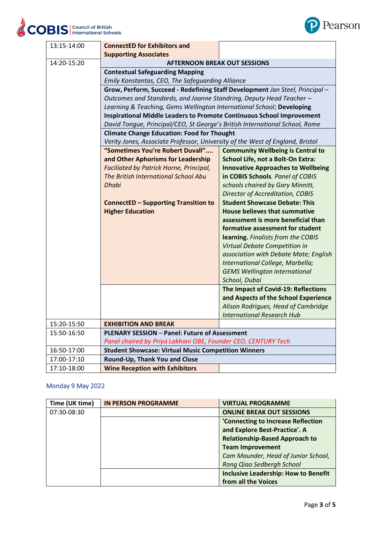

| 13:15-14:00 | <b>ConnectED for Exhibitors and</b>                                           |                                           |  |
|-------------|-------------------------------------------------------------------------------|-------------------------------------------|--|
| 14:20-15:20 | <b>Supporting Associates</b><br><b>AFTERNOON BREAK OUT SESSIONS</b>           |                                           |  |
|             |                                                                               |                                           |  |
|             | <b>Contextual Safeguarding Mapping</b>                                        |                                           |  |
|             | Emily Konstantas, CEO, The Safeguarding Alliance                              |                                           |  |
|             | Grow, Perform, Succeed - Redefining Staff Development Jan Steel, Principal -  |                                           |  |
|             | Outcomes and Standards, and Joanne Standring, Deputy Head Teacher -           |                                           |  |
|             | Learning & Teaching, Gems Wellington International School; Developing         |                                           |  |
|             | <b>Inspirational Middle Leaders to Promote Continuous School Improvement</b>  |                                           |  |
|             | David Tongue, Principal/CEO, St George's British International School, Rome   |                                           |  |
|             | <b>Climate Change Education: Food for Thought</b>                             |                                           |  |
|             | Verity Jones, Associate Professor, University of the West of England, Bristol |                                           |  |
|             | "Sometimes You're Robert Duvall"                                              | <b>Community Wellbeing is Central to</b>  |  |
|             | and Other Aphorisms for Leadership                                            | School Life, not a Bolt-On Extra:         |  |
|             | Faciliated by Patrick Horne, Principal,                                       | <b>Innovative Approaches to Wellbeing</b> |  |
|             | The British International School Abu                                          | in COBIS Schools. Panel of COBIS          |  |
|             | Dhabi                                                                         | schools chaired by Gary Minnitt,          |  |
|             |                                                                               | <b>Director of Accreditation, COBIS</b>   |  |
|             | <b>ConnectED - Supporting Transition to</b>                                   | <b>Student Showcase Debate: This</b>      |  |
|             | <b>Higher Education</b>                                                       | House believes that summative             |  |
|             |                                                                               | assessment is more beneficial than        |  |
|             |                                                                               | formative assessment for student          |  |
|             |                                                                               | learning. Finalists from the COBIS        |  |
|             |                                                                               | Virtual Debate Competition in             |  |
|             |                                                                               | association with Debate Mate; English     |  |
|             |                                                                               | International College, Marbella;          |  |
|             |                                                                               | <b>GEMS Wellington International</b>      |  |
|             |                                                                               | School, Dubai                             |  |
|             |                                                                               | The Impact of Covid-19: Reflections       |  |
|             |                                                                               | and Aspects of the School Experience      |  |
|             |                                                                               | Alison Rodrigues, Head of Cambridge       |  |
|             |                                                                               | <b>International Research Hub</b>         |  |
| 15:20-15:50 | <b>EXHIBITION AND BREAK</b>                                                   |                                           |  |
| 15:50-16:50 | <b>PLENARY SESSION - Panel: Future of Assessment</b>                          |                                           |  |
|             | Panel chaired by Priya Lakhani OBE, Founder CEO, CENTURY Tech                 |                                           |  |
| 16:50-17:00 | <b>Student Showcase: Virtual Music Competition Winners</b>                    |                                           |  |
| 17:00-17:10 | Round-Up, Thank You and Close                                                 |                                           |  |
| 17:10-18:00 | <b>Wine Reception with Exhibitors</b>                                         |                                           |  |

### Monday 9 May 2022

| Time (UK time) | <b>IN PERSON PROGRAMME</b> | <b>VIRTUAL PROGRAMME</b>                    |
|----------------|----------------------------|---------------------------------------------|
| 07:30-08:30    |                            | <b>ONLINE BREAK OUT SESSIONS</b>            |
|                |                            | 'Connecting to Increase Reflection          |
|                |                            | and Explore Best-Practice'. A               |
|                |                            | <b>Relationship-Based Approach to</b>       |
|                |                            | <b>Team Improvement</b>                     |
|                |                            | Cam Maunder, Head of Junior School,         |
|                |                            | Rong Qiao Sedbergh School                   |
|                |                            | <b>Inclusive Leadership: How to Benefit</b> |
|                |                            | from all the Voices                         |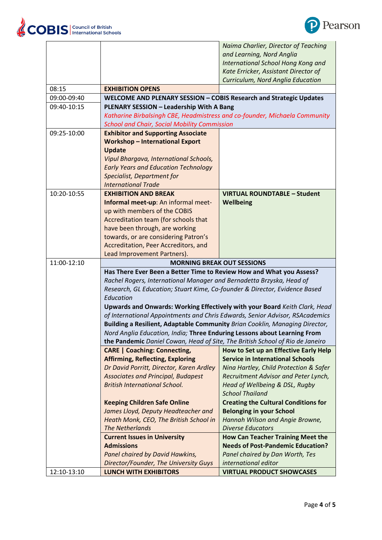

|             |                                                                               | Naima Charlier, Director of Teaching                                       |  |  |
|-------------|-------------------------------------------------------------------------------|----------------------------------------------------------------------------|--|--|
|             |                                                                               | and Learning, Nord Anglia                                                  |  |  |
|             |                                                                               | International School Hong Kong and                                         |  |  |
|             |                                                                               | Kate Erricker, Assistant Director of                                       |  |  |
|             |                                                                               | Curriculum, Nord Anglia Education                                          |  |  |
| 08:15       | <b>EXHIBITION OPENS</b>                                                       |                                                                            |  |  |
| 09:00-09:40 | WELCOME AND PLENARY SESSION - COBIS Research and Strategic Updates            |                                                                            |  |  |
| 09:40-10:15 | PLENARY SESSION - Leadership With A Bang                                      |                                                                            |  |  |
|             | Katharine Birbalsingh CBE, Headmistress and co-founder, Michaela Community    |                                                                            |  |  |
|             | <b>School and Chair, Social Mobility Commission</b>                           |                                                                            |  |  |
| 09:25-10:00 | <b>Exhibitor and Supporting Associate</b>                                     |                                                                            |  |  |
|             | <b>Workshop - International Export</b>                                        |                                                                            |  |  |
|             | <b>Update</b>                                                                 |                                                                            |  |  |
|             | Vipul Bhargava, International Schools,                                        |                                                                            |  |  |
|             | <b>Early Years and Education Technology</b>                                   |                                                                            |  |  |
|             | Specialist, Department for                                                    |                                                                            |  |  |
|             | <b>International Trade</b>                                                    |                                                                            |  |  |
| 10:20-10:55 | <b>EXHIBITION AND BREAK</b>                                                   | <b>VIRTUAL ROUNDTABLE - Student</b>                                        |  |  |
|             | Informal meet-up: An informal meet-                                           | Wellbeing                                                                  |  |  |
|             | up with members of the COBIS                                                  |                                                                            |  |  |
|             | Accreditation team (for schools that                                          |                                                                            |  |  |
|             | have been through, are working                                                |                                                                            |  |  |
|             | towards, or are considering Patron's                                          |                                                                            |  |  |
|             | Accreditation, Peer Accreditors, and                                          |                                                                            |  |  |
|             |                                                                               |                                                                            |  |  |
|             | Lead Improvement Partners).                                                   |                                                                            |  |  |
| 11:00-12:10 | <b>MORNING BREAK OUT SESSIONS</b>                                             |                                                                            |  |  |
|             | Has There Ever Been a Better Time to Review How and What you Assess?          |                                                                            |  |  |
|             | Rachel Rogers, International Manager and Bernadetta Brzyska, Head of          |                                                                            |  |  |
|             |                                                                               | Research, GL Education; Stuart Kime, Co-founder & Director, Evidence Based |  |  |
|             |                                                                               |                                                                            |  |  |
|             | Education                                                                     |                                                                            |  |  |
|             | Upwards and Onwards: Working Effectively with your Board Keith Clark, Head    |                                                                            |  |  |
|             | of International Appointments and Chris Edwards, Senior Advisor, RSAcademics  |                                                                            |  |  |
|             | Building a Resilient, Adaptable Community Brian Cooklin, Managing Director,   |                                                                            |  |  |
|             | Nord Anglia Education, India; Three Enduring Lessons about Learning From      |                                                                            |  |  |
|             | the Pandemic Daniel Cowan, Head of Site, The British School of Rio de Janeiro |                                                                            |  |  |
|             | <b>CARE   Coaching: Connecting,</b>                                           | How to Set up an Effective Early Help                                      |  |  |
|             | <b>Affirming, Reflecting, Exploring</b>                                       | <b>Service in International Schools</b>                                    |  |  |
|             | Dr David Porritt, Director, Karen Ardley                                      | Nina Hartley, Child Protection & Safer                                     |  |  |
|             | <b>Associates and Principal, Budapest</b>                                     | Recruitment Advisor and Peter Lynch,                                       |  |  |
|             | <b>British International School.</b>                                          | Head of Wellbeing & DSL, Rugby                                             |  |  |
|             |                                                                               | <b>School Thailand</b>                                                     |  |  |
|             | <b>Keeping Children Safe Online</b>                                           | <b>Creating the Cultural Conditions for</b>                                |  |  |
|             | James Lloyd, Deputy Headteacher and                                           | <b>Belonging in your School</b>                                            |  |  |
|             | Heath Monk, CEO, The British School in                                        | Hannah Wilson and Angie Browne,                                            |  |  |
|             | <b>The Netherlands</b>                                                        | <b>Diverse Educators</b>                                                   |  |  |
|             | <b>Current Issues in University</b>                                           | <b>How Can Teacher Training Meet the</b>                                   |  |  |
|             | <b>Admissions</b>                                                             | <b>Needs of Post-Pandemic Education?</b>                                   |  |  |
|             | Panel chaired by David Hawkins,                                               | Panel chaired by Dan Worth, Tes                                            |  |  |
|             | Director/Founder, The University Guys                                         | international editor                                                       |  |  |